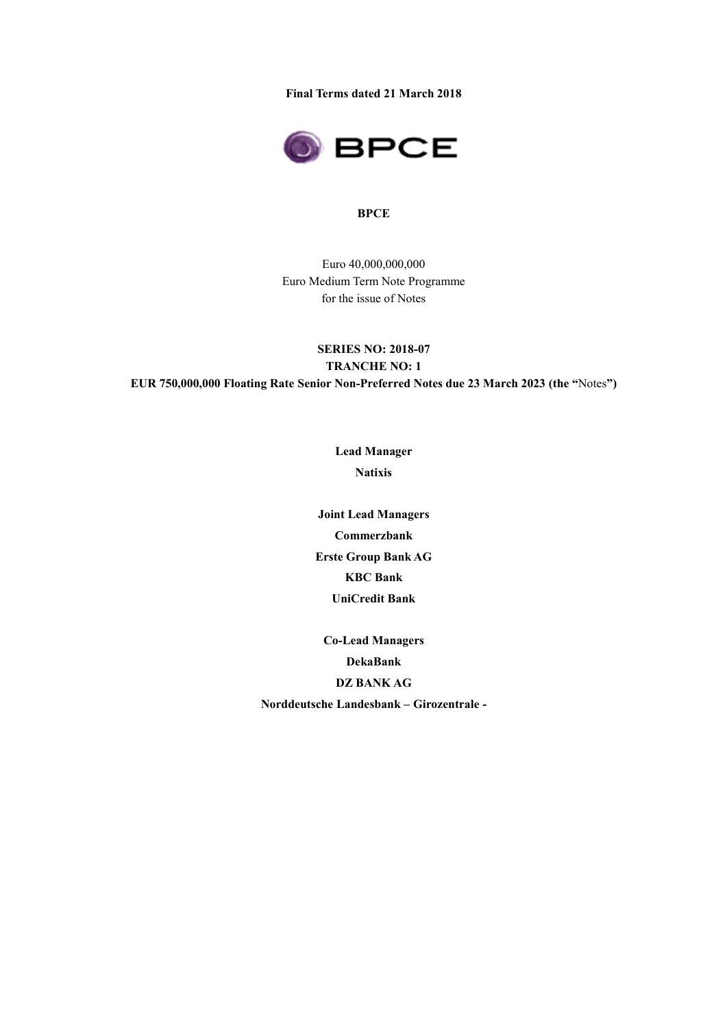**Final Terms dated 21 March 2018**



#### **BPCE**

Euro 40,000,000,000 Euro Medium Term Note Programme for the issue of Notes

**SERIES NO: 2018-07 TRANCHE NO: 1 EUR 750,000,000 Floating Rate Senior Non-Preferred Notes due 23 March 2023 (the "**Notes**")**

> **Lead Manager Natixis**

**Joint Lead Managers Commerzbank Erste Group Bank AG KBC Bank UniCredit Bank**

**Co-Lead Managers DekaBank DZ BANK AG Norddeutsche Landesbank – Girozentrale -**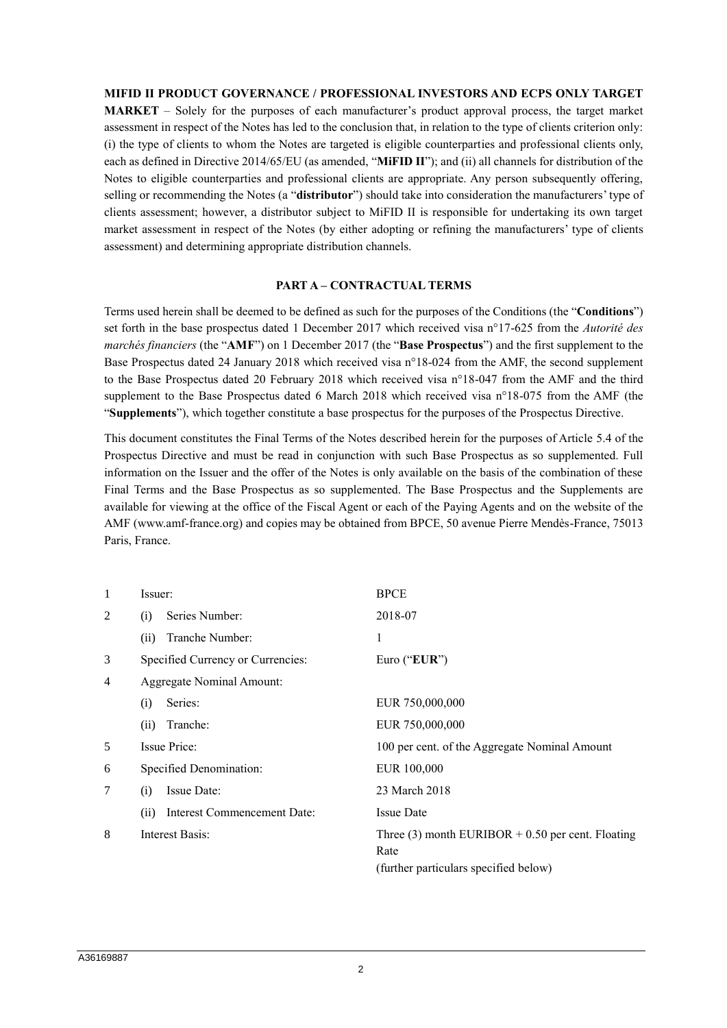## **MIFID II PRODUCT GOVERNANCE / PROFESSIONAL INVESTORS AND ECPS ONLY TARGET**

**MARKET** – Solely for the purposes of each manufacturer's product approval process, the target market assessment in respect of the Notes has led to the conclusion that, in relation to the type of clients criterion only: (i) the type of clients to whom the Notes are targeted is eligible counterparties and professional clients only, each as defined in Directive 2014/65/EU (as amended, "**MiFID II**"); and (ii) all channels for distribution of the Notes to eligible counterparties and professional clients are appropriate. Any person subsequently offering, selling or recommending the Notes (a "**distributor**") should take into consideration the manufacturers' type of clients assessment; however, a distributor subject to MiFID II is responsible for undertaking its own target market assessment in respect of the Notes (by either adopting or refining the manufacturers' type of clients assessment) and determining appropriate distribution channels.

#### **PART A – CONTRACTUAL TERMS**

Terms used herein shall be deemed to be defined as such for the purposes of the Conditions (the "**Conditions**") set forth in the base prospectus dated 1 December 2017 which received visa n°17-625 from the *Autorité des marchés financiers* (the "**AMF**") on 1 December 2017 (the "**Base Prospectus**") and the first supplement to the Base Prospectus dated 24 January 2018 which received visa n°18-024 from the AMF, the second supplement to the Base Prospectus dated 20 February 2018 which received visa n°18-047 from the AMF and the third supplement to the Base Prospectus dated 6 March 2018 which received visa n°18-075 from the AMF (the "**Supplements**"), which together constitute a base prospectus for the purposes of the Prospectus Directive.

This document constitutes the Final Terms of the Notes described herein for the purposes of Article 5.4 of the Prospectus Directive and must be read in conjunction with such Base Prospectus as so supplemented. Full information on the Issuer and the offer of the Notes is only available on the basis of the combination of these Final Terms and the Base Prospectus as so supplemented. The Base Prospectus and the Supplements are available for viewing at the office of the Fiscal Agent or each of the Paying Agents and on the website of the AMF (www.amf-france.org) and copies may be obtained from BPCE, 50 avenue Pierre Mendès-France, 75013 Paris, France.

| 1                              | Issuer:                             | <b>BPCE</b>                                                                                          |  |
|--------------------------------|-------------------------------------|------------------------------------------------------------------------------------------------------|--|
| 2                              | Series Number:<br>(i)               | 2018-07                                                                                              |  |
|                                | Tranche Number:<br>(ii)             | 1                                                                                                    |  |
| 3                              | Specified Currency or Currencies:   | Euro ("EUR")                                                                                         |  |
| Aggregate Nominal Amount:<br>4 |                                     |                                                                                                      |  |
|                                | Series:<br>(i)                      | EUR 750,000,000                                                                                      |  |
|                                | Tranche:<br>(ii)                    | EUR 750,000,000                                                                                      |  |
| 5                              | <b>Issue Price:</b>                 | 100 per cent. of the Aggregate Nominal Amount                                                        |  |
| 6                              | Specified Denomination:             | EUR 100,000                                                                                          |  |
| 7                              | Issue Date:<br>(i)                  | 23 March 2018                                                                                        |  |
|                                | Interest Commencement Date:<br>(ii) | <b>Issue Date</b>                                                                                    |  |
| 8                              | Interest Basis:                     | Three (3) month EURIBOR $+$ 0.50 per cent. Floating<br>Rate<br>(further particulars specified below) |  |
|                                |                                     |                                                                                                      |  |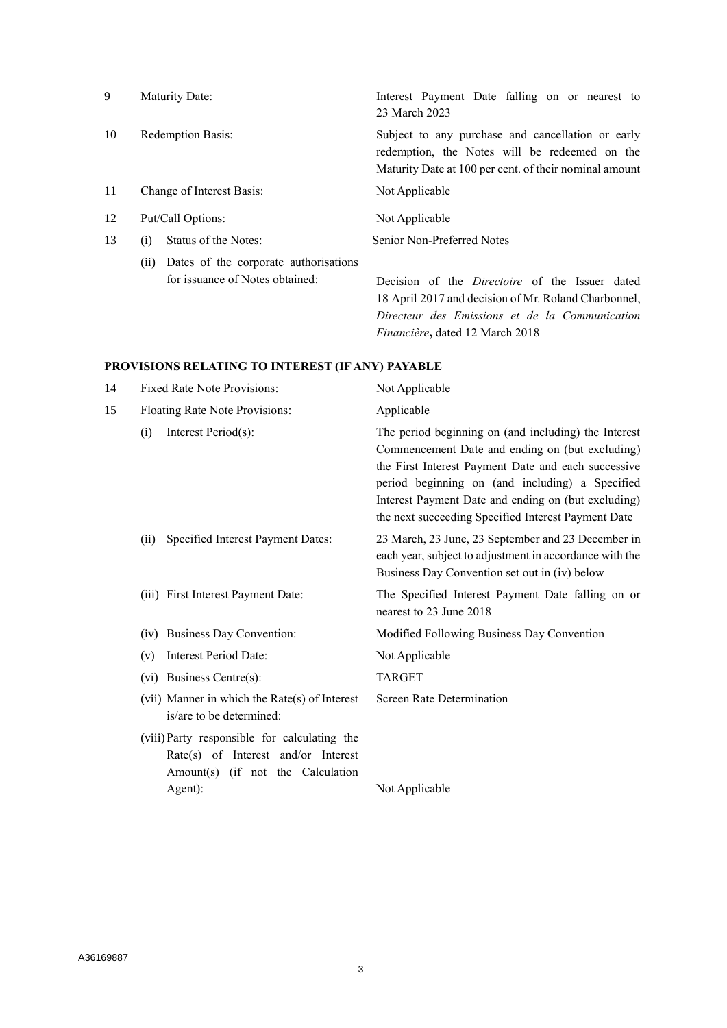| 9  | Maturity Date:                                                                  | Interest Payment Date falling on or nearest to<br>23 March 2023                                                                                                 |
|----|---------------------------------------------------------------------------------|-----------------------------------------------------------------------------------------------------------------------------------------------------------------|
| 10 | Redemption Basis:                                                               | Subject to any purchase and cancellation or early<br>redemption, the Notes will be redeemed on the<br>Maturity Date at 100 per cent. of their nominal amount    |
| 11 | Change of Interest Basis:                                                       | Not Applicable                                                                                                                                                  |
| 12 | Put/Call Options:                                                               | Not Applicable                                                                                                                                                  |
| 13 | Status of the Notes:<br>(i)                                                     | Senior Non-Preferred Notes                                                                                                                                      |
|    | Dates of the corporate authorisations<br>(i)<br>for issuance of Notes obtained: | Decision of the <i>Directoire</i> of the Issuer dated<br>18 April 2017 and decision of Mr. Roland Charbonnel,<br>Directeur des Emissions et de la Communication |

*Financière***,** dated 12 March 2018

# **PROVISIONS RELATING TO INTEREST (IF ANY) PAYABLE**

| 14 | <b>Fixed Rate Note Provisions:</b>                                                                                                  | Not Applicable                                                                                                                                                                                                                                                                                                                  |  |
|----|-------------------------------------------------------------------------------------------------------------------------------------|---------------------------------------------------------------------------------------------------------------------------------------------------------------------------------------------------------------------------------------------------------------------------------------------------------------------------------|--|
| 15 | Floating Rate Note Provisions:                                                                                                      | Applicable                                                                                                                                                                                                                                                                                                                      |  |
|    | Interest Period(s):<br>(i)                                                                                                          | The period beginning on (and including) the Interest<br>Commencement Date and ending on (but excluding)<br>the First Interest Payment Date and each successive<br>period beginning on (and including) a Specified<br>Interest Payment Date and ending on (but excluding)<br>the next succeeding Specified Interest Payment Date |  |
|    | Specified Interest Payment Dates:<br>(ii)                                                                                           | 23 March, 23 June, 23 September and 23 December in<br>each year, subject to adjustment in accordance with the<br>Business Day Convention set out in (iv) below                                                                                                                                                                  |  |
|    | (iii) First Interest Payment Date:                                                                                                  | The Specified Interest Payment Date falling on or<br>nearest to 23 June 2018                                                                                                                                                                                                                                                    |  |
|    | <b>Business Day Convention:</b><br>(iv)                                                                                             | Modified Following Business Day Convention                                                                                                                                                                                                                                                                                      |  |
|    | Interest Period Date:<br>(v)                                                                                                        | Not Applicable                                                                                                                                                                                                                                                                                                                  |  |
|    | (vi) Business Centre(s):                                                                                                            | <b>TARGET</b>                                                                                                                                                                                                                                                                                                                   |  |
|    | (vii) Manner in which the Rate(s) of Interest<br>is/are to be determined:                                                           | Screen Rate Determination                                                                                                                                                                                                                                                                                                       |  |
|    | (viii) Party responsible for calculating the<br>Rate(s) of Interest and/or Interest<br>Amount(s) (if not the Calculation<br>Agent): | Not Applicable                                                                                                                                                                                                                                                                                                                  |  |
|    |                                                                                                                                     |                                                                                                                                                                                                                                                                                                                                 |  |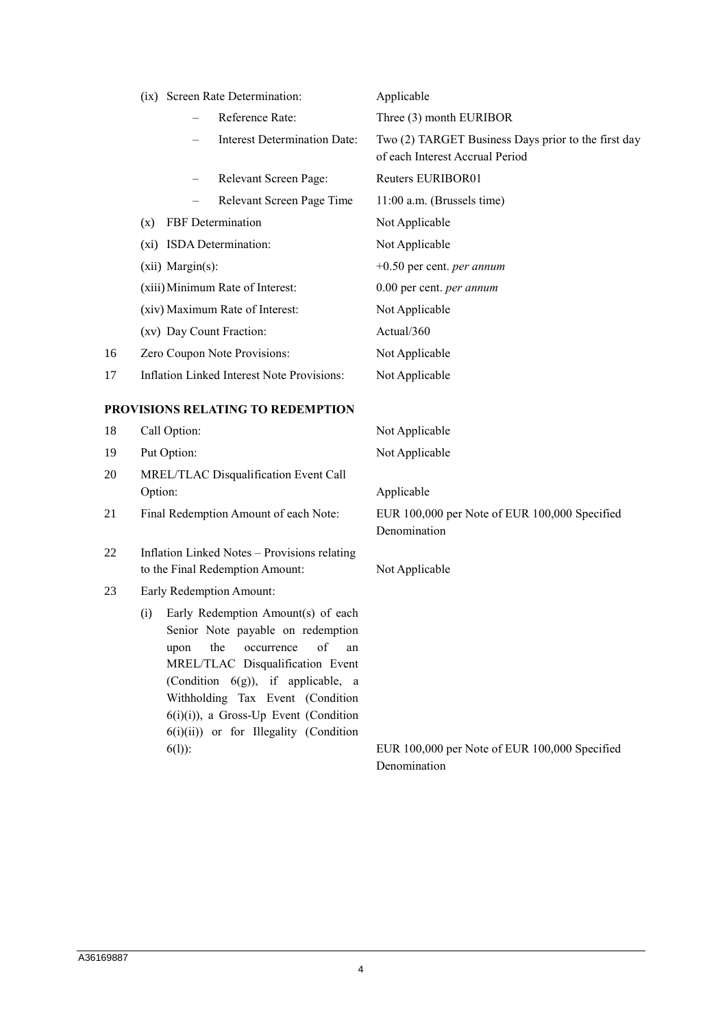| (ix) Screen Rate Determination:<br>Reference Rate:<br><b>Interest Determination Date:</b><br>Relevant Screen Page:<br>Relevant Screen Page Time                                                                                                                                                                                | Applicable<br>Three (3) month EURIBOR<br>Two (2) TARGET Business Days prior to the first day<br>of each Interest Accrual Period<br>Reuters EURIBOR01 |  |
|--------------------------------------------------------------------------------------------------------------------------------------------------------------------------------------------------------------------------------------------------------------------------------------------------------------------------------|------------------------------------------------------------------------------------------------------------------------------------------------------|--|
|                                                                                                                                                                                                                                                                                                                                |                                                                                                                                                      |  |
|                                                                                                                                                                                                                                                                                                                                |                                                                                                                                                      |  |
|                                                                                                                                                                                                                                                                                                                                |                                                                                                                                                      |  |
|                                                                                                                                                                                                                                                                                                                                |                                                                                                                                                      |  |
|                                                                                                                                                                                                                                                                                                                                | 11:00 a.m. (Brussels time)                                                                                                                           |  |
|                                                                                                                                                                                                                                                                                                                                | Not Applicable                                                                                                                                       |  |
| (xi) ISDA Determination:                                                                                                                                                                                                                                                                                                       | Not Applicable                                                                                                                                       |  |
| (xii) Margin(s):                                                                                                                                                                                                                                                                                                               | $+0.50$ per cent. <i>per annum</i>                                                                                                                   |  |
| (xiii) Minimum Rate of Interest:                                                                                                                                                                                                                                                                                               | 0.00 per cent. per annum                                                                                                                             |  |
| (xiv) Maximum Rate of Interest:                                                                                                                                                                                                                                                                                                | Not Applicable                                                                                                                                       |  |
| (xv) Day Count Fraction:                                                                                                                                                                                                                                                                                                       | Actual/360                                                                                                                                           |  |
| Zero Coupon Note Provisions:                                                                                                                                                                                                                                                                                                   | Not Applicable                                                                                                                                       |  |
| Inflation Linked Interest Note Provisions:                                                                                                                                                                                                                                                                                     | Not Applicable                                                                                                                                       |  |
|                                                                                                                                                                                                                                                                                                                                |                                                                                                                                                      |  |
| Call Option:                                                                                                                                                                                                                                                                                                                   | Not Applicable                                                                                                                                       |  |
| Put Option:                                                                                                                                                                                                                                                                                                                    | Not Applicable                                                                                                                                       |  |
| MREL/TLAC Disqualification Event Call                                                                                                                                                                                                                                                                                          |                                                                                                                                                      |  |
| Option:                                                                                                                                                                                                                                                                                                                        | Applicable                                                                                                                                           |  |
| Final Redemption Amount of each Note:                                                                                                                                                                                                                                                                                          | EUR 100,000 per Note of EUR 100,000 Specified<br>Denomination                                                                                        |  |
| Inflation Linked Notes - Provisions relating<br>to the Final Redemption Amount:                                                                                                                                                                                                                                                | Not Applicable                                                                                                                                       |  |
| Early Redemption Amount:                                                                                                                                                                                                                                                                                                       |                                                                                                                                                      |  |
| Early Redemption Amount(s) of each<br>(i)<br>Senior Note payable on redemption<br>of<br>the<br>occurrence<br>upon<br>an<br>MREL/TLAC Disqualification Event<br>(Condition $6(g)$ ), if applicable, a<br>Withholding Tax Event (Condition<br>$6(i)(i)$ , a Gross-Up Event (Condition<br>$6(i)(ii)$ or for Illegality (Condition |                                                                                                                                                      |  |
| $6(1)$ :                                                                                                                                                                                                                                                                                                                       | EUR 100,000 per Note of EUR 100,000 Specified<br>Denomination                                                                                        |  |
|                                                                                                                                                                                                                                                                                                                                | FBF Determination<br>(x)<br>PROVISIONS RELATING TO REDEMPTION                                                                                        |  |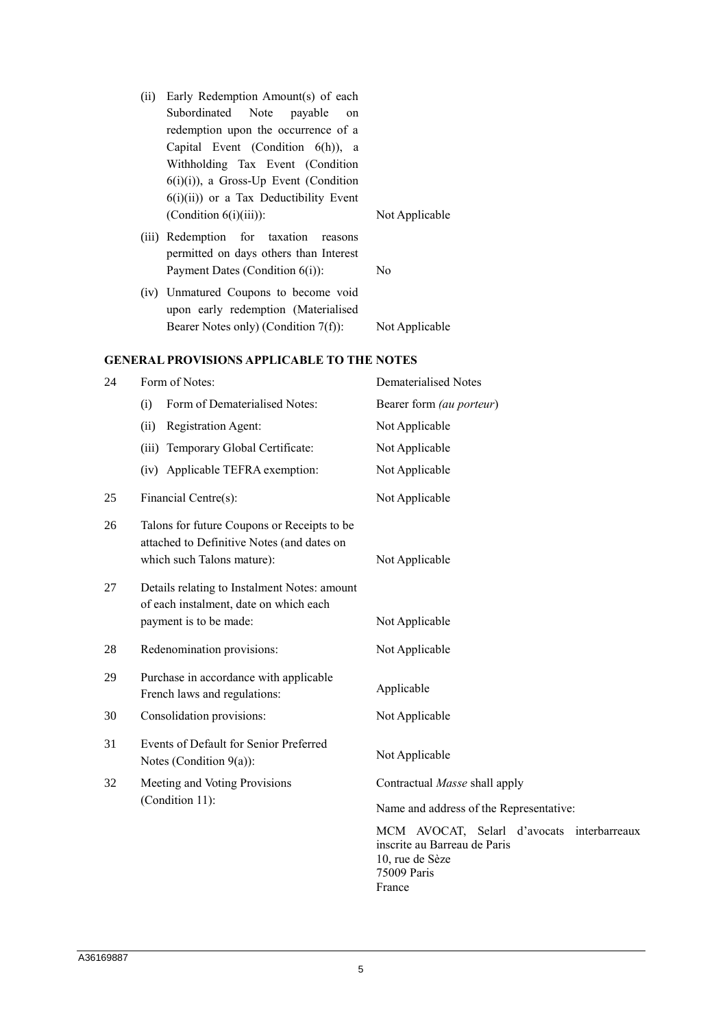(ii) Early Redemption Amount(s) of each Subordinated Note payable on redemption upon the occurrence of a Capital Event (Condition 6(h)), a Withholding Tax Event (Condition  $6(i)(i)$ ), a Gross-Up Event (Condition 6(i)(ii)) or a Tax Deductibility Event (Condition 6(i)(iii)): Not Applicable

- (iii) Redemption for taxation reasons permitted on days others than Interest Payment Dates (Condition 6(i)): No
- (iv) Unmatured Coupons to become void upon early redemption (Materialised Bearer Notes only) (Condition 7(f)): Not Applicable

#### **GENERAL PROVISIONS APPLICABLE TO THE NOTES**

| 24 | Form of Notes:                                                                                                          | <b>Dematerialised Notes</b>                                                                                            |
|----|-------------------------------------------------------------------------------------------------------------------------|------------------------------------------------------------------------------------------------------------------------|
|    | Form of Dematerialised Notes:<br>(i)                                                                                    | Bearer form (au porteur)                                                                                               |
|    | Registration Agent:<br>(ii)                                                                                             | Not Applicable                                                                                                         |
|    | (iii) Temporary Global Certificate:                                                                                     | Not Applicable                                                                                                         |
|    | (iv) Applicable TEFRA exemption:                                                                                        | Not Applicable                                                                                                         |
| 25 | Financial Centre(s):                                                                                                    | Not Applicable                                                                                                         |
| 26 | Talons for future Coupons or Receipts to be<br>attached to Definitive Notes (and dates on<br>which such Talons mature): | Not Applicable                                                                                                         |
| 27 | Details relating to Instalment Notes: amount<br>of each instalment, date on which each<br>payment is to be made:        | Not Applicable                                                                                                         |
| 28 | Redenomination provisions:                                                                                              | Not Applicable                                                                                                         |
| 29 | Purchase in accordance with applicable<br>French laws and regulations:                                                  | Applicable                                                                                                             |
| 30 | Consolidation provisions:                                                                                               | Not Applicable                                                                                                         |
| 31 | Events of Default for Senior Preferred<br>Notes (Condition $9(a)$ ):                                                    | Not Applicable                                                                                                         |
| 32 | Meeting and Voting Provisions<br>(Condition 11):                                                                        | Contractual Masse shall apply                                                                                          |
|    |                                                                                                                         | Name and address of the Representative:                                                                                |
|    |                                                                                                                         | MCM AVOCAT, Selarl d'avocats interbarreaux<br>inscrite au Barreau de Paris<br>10, rue de Sèze<br>75009 Paris<br>France |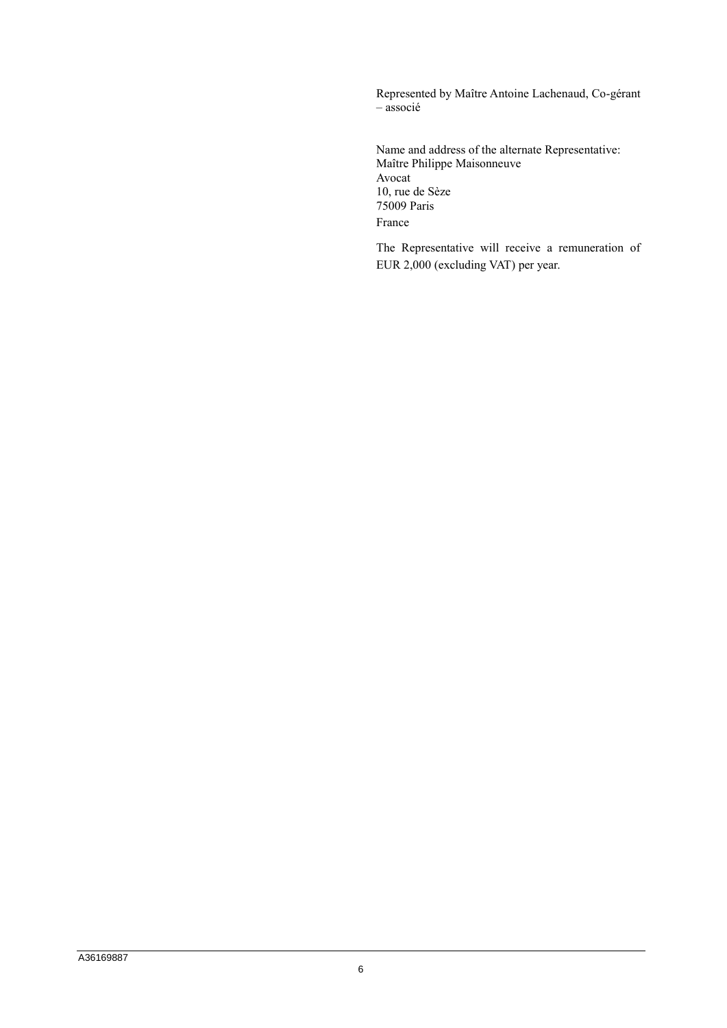Represented by Maître Antoine Lachenaud, Co-gérant – associé

Name and address of the alternate Representative: Maître Philippe Maisonneuve Avocat 10, rue de Sèze 75009 Paris France

The Representative will receive a remuneration of EUR 2,000 (excluding VAT) per year.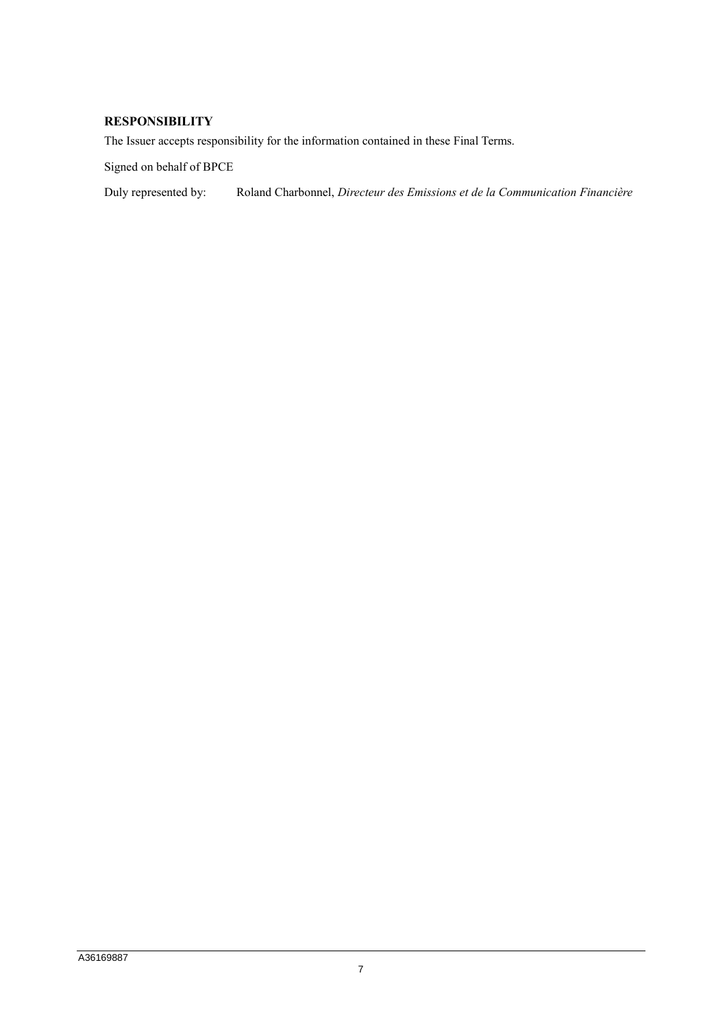# **RESPONSIBILITY**

The Issuer accepts responsibility for the information contained in these Final Terms.

Signed on behalf of BPCE

Duly represented by: Roland Charbonnel, *Directeur des Emissions et de la Communication Financière*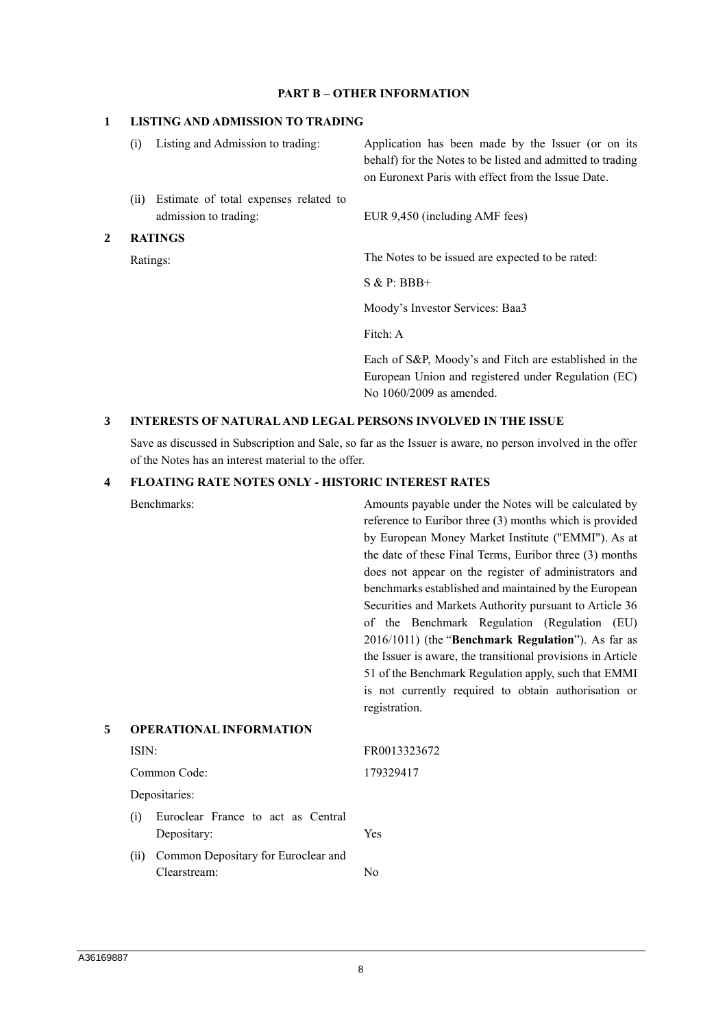#### **PART B – OTHER INFORMATION**

#### **1 LISTING AND ADMISSION TO TRADING**

|   | (i)                        | Listing and Admission to trading:                              | Application has been made by the Issuer (or on its<br>behalf) for the Notes to be listed and admitted to trading<br>on Euronext Paris with effect from the Issue Date. |
|---|----------------------------|----------------------------------------------------------------|------------------------------------------------------------------------------------------------------------------------------------------------------------------------|
|   | (i)                        | Estimate of total expenses related to<br>admission to trading: | EUR 9,450 (including AMF fees)                                                                                                                                         |
| 2 | <b>RATINGS</b><br>Ratings: |                                                                |                                                                                                                                                                        |
|   |                            |                                                                | The Notes to be issued are expected to be rated:                                                                                                                       |
|   |                            |                                                                | $S & P: BBB+$                                                                                                                                                          |
|   |                            |                                                                | Moody's Investor Services: Baa3                                                                                                                                        |

Fitch: A

Each of S&P, Moody's and Fitch are established in the European Union and registered under Regulation (EC) No 1060/2009 as amended.

#### **3 INTERESTS OF NATURAL AND LEGAL PERSONS INVOLVED IN THE ISSUE**

Save as discussed in Subscription and Sale, so far as the Issuer is aware, no person involved in the offer of the Notes has an interest material to the offer.

#### **4 FLOATING RATE NOTES ONLY - HISTORIC INTEREST RATES**

Benchmarks: Amounts payable under the Notes will be calculated by reference to Euribor three (3) months which is provided by European Money Market Institute ("EMMI"). As at the date of these Final Terms, Euribor three (3) months does not appear on the register of administrators and benchmarks established and maintained by the European Securities and Markets Authority pursuant to Article 36 of the Benchmark Regulation (Regulation (EU) 2016/1011) (the "**Benchmark Regulation**"). As far as the Issuer is aware, the transitional provisions in Article 51 of the Benchmark Regulation apply, such that EMMI is not currently required to obtain authorisation or registration.

| 5 | <b>OPERATIONAL INFORMATION</b> |                                                    |              |
|---|--------------------------------|----------------------------------------------------|--------------|
|   | ISIN:                          |                                                    | FR0013323672 |
|   |                                | Common Code:                                       | 179329417    |
|   | Depositaries:                  |                                                    |              |
|   | (i)                            | Euroclear France to act as Central<br>Depositary:  | Yes          |
|   | (11)                           | Common Depositary for Euroclear and<br>Clearstream | Νω           |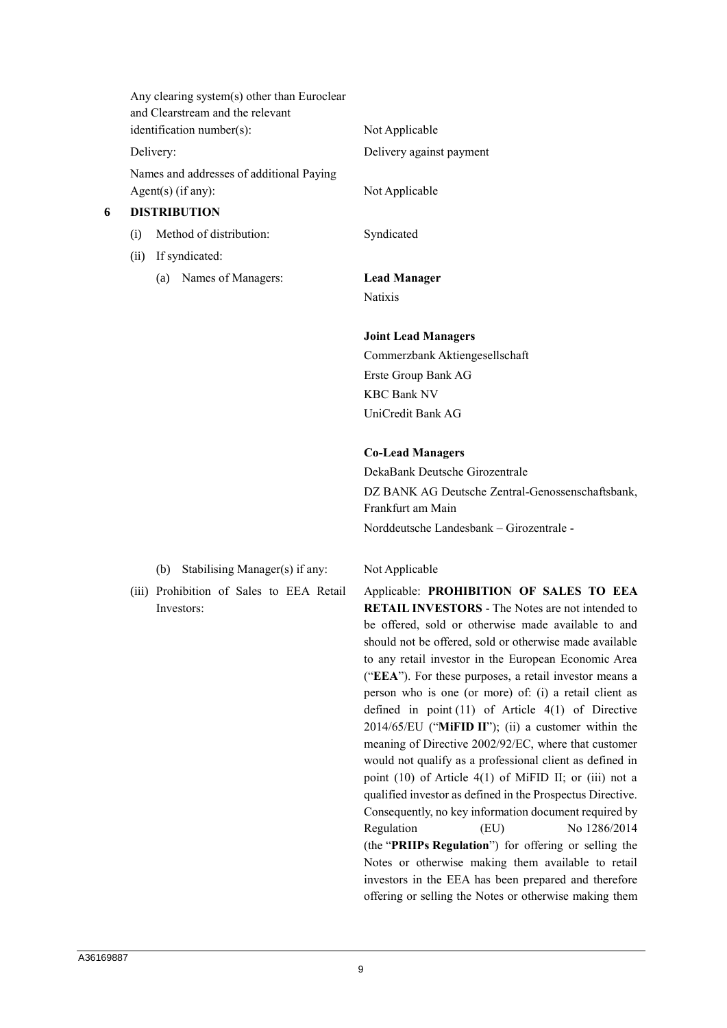|   | Any clearing system(s) other than Euroclear<br>and Clearstream and the relevant<br>$identification number(s)$ : |                           | Not Applicable<br>Delivery against payment |
|---|-----------------------------------------------------------------------------------------------------------------|---------------------------|--------------------------------------------|
|   | Delivery:<br>Names and addresses of additional Paying                                                           |                           |                                            |
|   | Agent(s) $(if any):$                                                                                            |                           | Not Applicable                             |
| 6 | <b>DISTRIBUTION</b>                                                                                             |                           |                                            |
|   | (i)                                                                                                             | Method of distribution:   | Syndicated                                 |
|   | (ii)                                                                                                            | If syndicated:            |                                            |
|   |                                                                                                                 | Names of Managers:<br>(a) | <b>Lead Manager</b>                        |
|   |                                                                                                                 |                           | <b>Natixis</b>                             |
|   |                                                                                                                 |                           | <b>Joint Lead Managers</b>                 |

Commerzbank Aktiengesellschaft Erste Group Bank AG KBC Bank NV UniCredit Bank AG

### **Co-Lead Managers**

DekaBank Deutsche Girozentrale DZ BANK AG Deutsche Zentral-Genossenschaftsbank, Frankfurt am Main Norddeutsche Landesbank – Girozentrale -

(b) Stabilising Manager(s) if any: Not Applicable

(iii) Prohibition of Sales to EEA Retail Investors:

Applicable: **PROHIBITION OF SALES TO EEA RETAIL INVESTORS** - The Notes are not intended to be offered, sold or otherwise made available to and should not be offered, sold or otherwise made available to any retail investor in the European Economic Area ("**EEA**"). For these purposes, a retail investor means a person who is one (or more) of: (i) a retail client as defined in point (11) of Article 4(1) of Directive 2014/65/EU ("**MiFID II**"); (ii) a customer within the meaning of Directive 2002/92/EC, where that customer would not qualify as a professional client as defined in point (10) of Article 4(1) of MiFID II; or (iii) not a qualified investor as defined in the Prospectus Directive. Consequently, no key information document required by Regulation (EU) No 1286/2014 (the "**PRIIPs Regulation**") for offering or selling the Notes or otherwise making them available to retail investors in the EEA has been prepared and therefore offering or selling the Notes or otherwise making them